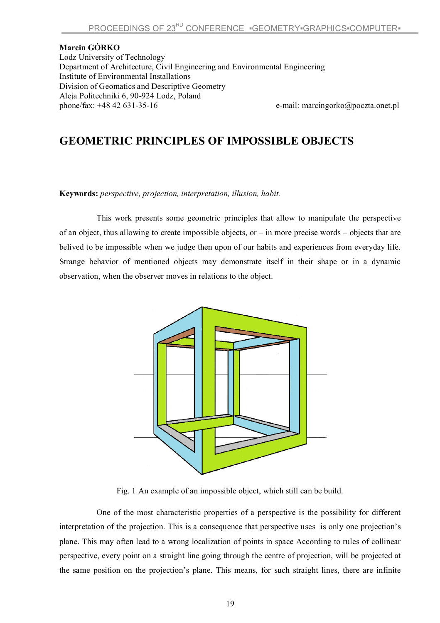## **Marcin GÓRKO**

Lodz University of Technology Department of Architecture, Civil Engineering and Environmental Engineering Institute of Environmental Installations Division of Geomatics and Descriptive Geometry Aleja Politechniki 6, 90-924 Lodz, Poland

e-mail: marcingorko@poczta.onet.pl

## **GEOMETRIC PRINCIPLES OF IMPOSSIBLE OBJECTS**

**Keywords:** *perspective, projection, interpretation, illusion, habit.*

This work presents some geometric principles that allow to manipulate the perspective of an object, thus allowing to create impossible objects, or – in more precise words – objects that are belived to be impossible when we judge then upon of our habits and experiences from everyday life. Strange behavior of mentioned objects may demonstrate itself in their shape or in a dynamic observation, when the observer moves in relations to the object.



Fig. 1 An example of an impossible object, which still can be build.

One of the most characteristic properties of a perspective is the possibility for different interpretation of the projection. This is a consequence that perspective uses is only one projection's plane. This may often lead to a wrong localization of points in space According to rules of collinear perspective, every point on a straight line going through the centre of projection, will be projected at the same position on the projection's plane. This means, for such straight lines, there are infinite